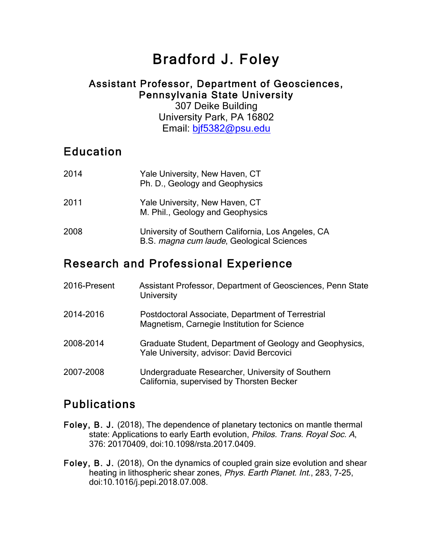# Bradford J. Foley

#### Assistant Professor, Department of Geosciences, Pennsylvania State University

307 Deike Building University Park, PA 16802 Email: bjf5382@psu.edu

# **Education**

| 2014 | Yale University, New Haven, CT<br>Ph. D., Geology and Geophysics                                |
|------|-------------------------------------------------------------------------------------------------|
| 2011 | Yale University, New Haven, CT<br>M. Phil., Geology and Geophysics                              |
| 2008 | University of Southern California, Los Angeles, CA<br>B.S. magna cum laude, Geological Sciences |
|      | canale and Duefacetered Funerian.                                                               |

# Research and Professional Experience

| 2016-Present | Assistant Professor, Department of Geosciences, Penn State<br><b>University</b>                      |
|--------------|------------------------------------------------------------------------------------------------------|
| 2014-2016    | Postdoctoral Associate, Department of Terrestrial<br>Magnetism, Carnegie Institution for Science     |
| 2008-2014    | Graduate Student, Department of Geology and Geophysics,<br>Yale University, advisor: David Bercovici |
| 2007-2008    | Undergraduate Researcher, University of Southern<br>California, supervised by Thorsten Becker        |

# Publications

- Foley, B. J. (2018), The dependence of planetary tectonics on mantle thermal state: Applications to early Earth evolution, Philos. Trans. Royal Soc. A, 376: 20170409, doi:10.1098/rsta.2017.0409.
- Foley, B. J. (2018), On the dynamics of coupled grain size evolution and shear heating in lithospheric shear zones, Phys. Earth Planet. Int., 283, 7-25, doi:10.1016/j.pepi.2018.07.008.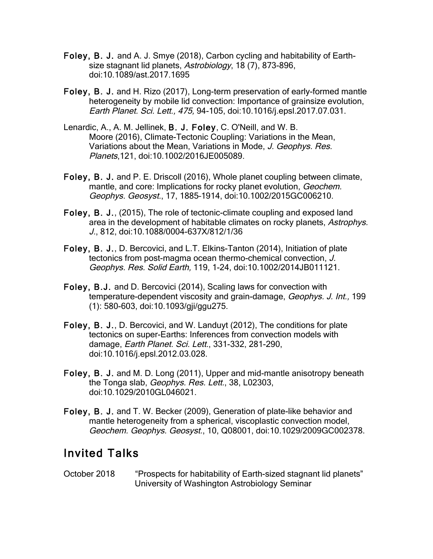- Foley, B. J. and A. J. Smye (2018), Carbon cycling and habitability of Earthsize stagnant lid planets, Astrobiology, 18 (7), 873-896, doi:10.1089/ast.2017.1695
- Foley, B. J. and H. Rizo (2017), Long-term preservation of early-formed mantle heterogeneity by mobile lid convection: Importance of grainsize evolution, Earth Planet. Sci. Lett., 475, 94-105, doi:10.1016/j.epsl.2017.07.031.
- Lenardic, A., A. M. Jellinek, B. J. Foley, C. O'Neill, and W. B. Moore (2016), Climate-Tectonic Coupling: Variations in the Mean, Variations about the Mean, Variations in Mode, J. Geophys. Res. Planets,121, doi:10.1002/2016JE005089.
- Foley, B. J. and P. E. Driscoll (2016), Whole planet coupling between climate, mantle, and core: Implications for rocky planet evolution, Geochem. Geophys. Geosyst., 17, 1885–1914, doi:10.1002/2015GC006210.
- Foley, B. J., (2015), The role of tectonic-climate coupling and exposed land area in the development of habitable climates on rocky planets, Astrophys. J., 812, doi:10.1088/0004-637X/812/1/36
- Foley, B. J., D. Bercovici, and L.T. Elkins-Tanton (2014), Initiation of plate tectonics from post-magma ocean thermo-chemical convection, J. Geophys. Res. Solid Earth, 119, 1-24, doi:10.1002/2014JB011121.
- Foley, B.J. and D. Bercovici (2014), Scaling laws for convection with temperature-dependent viscosity and grain-damage, Geophys. J. Int., 199 (1): 580-603, doi:10.1093/gji/ggu275.
- Foley, B. J., D. Bercovici, and W. Landuyt (2012), The conditions for plate tectonics on super-Earths: Inferences from convection models with damage, Earth Planet. Sci. Lett., 331-332, 281-290, doi:10.1016/j.epsl.2012.03.028.
- Foley, B. J. and M. D. Long (2011), Upper and mid-mantle anisotropy beneath the Tonga slab, Geophys. Res. Lett., 38, L02303, doi:10.1029/2010GL046021.
- Foley, B. J. and T. W. Becker (2009), Generation of plate-like behavior and mantle heterogeneity from a spherical, viscoplastic convection model, Geochem. Geophys. Geosyst., 10, Q08001, doi:10.1029/2009GC002378.

## Invited Talks

October 2018 "Prospects for habitability of Earth-sized stagnant lid planets" University of Washington Astrobiology Seminar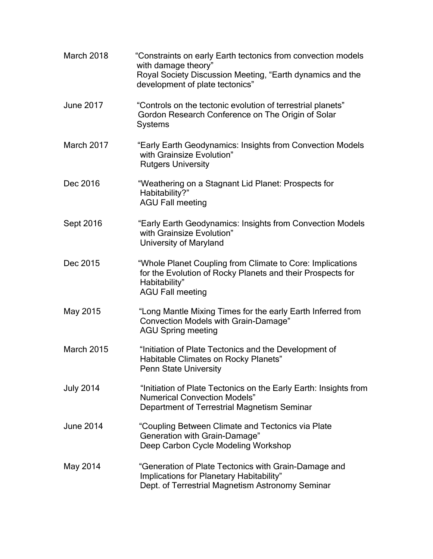| March 2018        | "Constraints on early Earth tectonics from convection models<br>with damage theory"<br>Royal Society Discussion Meeting, "Earth dynamics and the<br>development of plate tectonics" |
|-------------------|-------------------------------------------------------------------------------------------------------------------------------------------------------------------------------------|
| <b>June 2017</b>  | "Controls on the tectonic evolution of terrestrial planets"<br>Gordon Research Conference on The Origin of Solar<br><b>Systems</b>                                                  |
| March 2017        | "Early Earth Geodynamics: Insights from Convection Models<br>with Grainsize Evolution"<br><b>Rutgers University</b>                                                                 |
| Dec 2016          | "Weathering on a Stagnant Lid Planet: Prospects for<br>Habitability?"<br><b>AGU Fall meeting</b>                                                                                    |
| Sept 2016         | "Early Earth Geodynamics: Insights from Convection Models<br>with Grainsize Evolution"<br>University of Maryland                                                                    |
| Dec 2015          | "Whole Planet Coupling from Climate to Core: Implications<br>for the Evolution of Rocky Planets and their Prospects for<br>Habitability"<br><b>AGU Fall meeting</b>                 |
| May 2015          | "Long Mantle Mixing Times for the early Earth Inferred from<br>Convection Models with Grain-Damage"<br><b>AGU Spring meeting</b>                                                    |
| <b>March 2015</b> | "Initiation of Plate Tectonics and the Development of<br>Habitable Climates on Rocky Planets"<br><b>Penn State University</b>                                                       |
| <b>July 2014</b>  | "Initiation of Plate Tectonics on the Early Earth: Insights from<br><b>Numerical Convection Models"</b><br>Department of Terrestrial Magnetism Seminar                              |
| June 2014         | "Coupling Between Climate and Tectonics via Plate<br>Generation with Grain-Damage"<br>Deep Carbon Cycle Modeling Workshop                                                           |
| May 2014          | "Generation of Plate Tectonics with Grain-Damage and<br>Implications for Planetary Habitability"<br>Dept. of Terrestrial Magnetism Astronomy Seminar                                |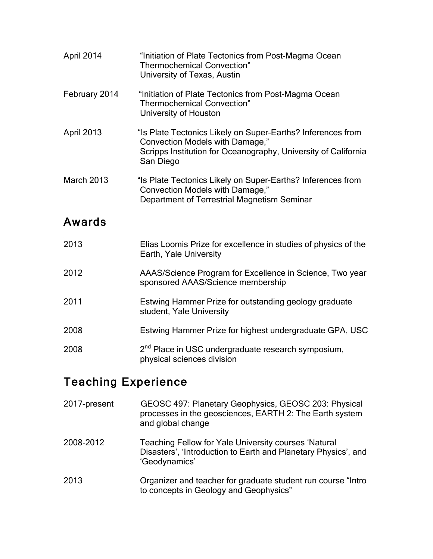| April 2014    | "Initiation of Plate Tectonics from Post-Magma Ocean<br><b>Thermochemical Convection"</b><br>University of Texas, Austin                                                      |
|---------------|-------------------------------------------------------------------------------------------------------------------------------------------------------------------------------|
| February 2014 | "Initiation of Plate Tectonics from Post-Magma Ocean<br><b>Thermochemical Convection"</b><br>University of Houston                                                            |
| April 2013    | "Is Plate Tectonics Likely on Super-Earths? Inferences from<br>Convection Models with Damage,"<br>Scripps Institution for Oceanography, University of California<br>San Diego |
| March 2013    | "Is Plate Tectonics Likely on Super-Earths? Inferences from<br>Convection Models with Damage,"<br>Department of Terrestrial Magnetism Seminar                                 |
| Awards        |                                                                                                                                                                               |
| 2013          | Elias Loomis Prize for excellence in studies of physics of the<br>Earth, Yale University                                                                                      |
| 2012          | AAAS/Science Program for Excellence in Science, Two year<br>sponsored AAAS/Science membership                                                                                 |
| 2011          | Estwing Hammer Prize for outstanding geology graduate<br>student, Yale University                                                                                             |
| 2008          | Estwing Hammer Prize for highest undergraduate GPA, USC                                                                                                                       |
| 2008          | 2 <sup>nd</sup> Place in USC undergraduate research symposium,<br>physical sciences division                                                                                  |

# Teaching Experience

| 2017-present | GEOSC 497: Planetary Geophysics, GEOSC 203: Physical<br>processes in the geosciences, EARTH 2: The Earth system<br>and global change    |
|--------------|-----------------------------------------------------------------------------------------------------------------------------------------|
| 2008-2012    | Teaching Fellow for Yale University courses 'Natural<br>Disasters', 'Introduction to Earth and Planetary Physics', and<br>'Geodynamics' |
| 2013         | Organizer and teacher for graduate student run course "Intro"<br>to concepts in Geology and Geophysics"                                 |